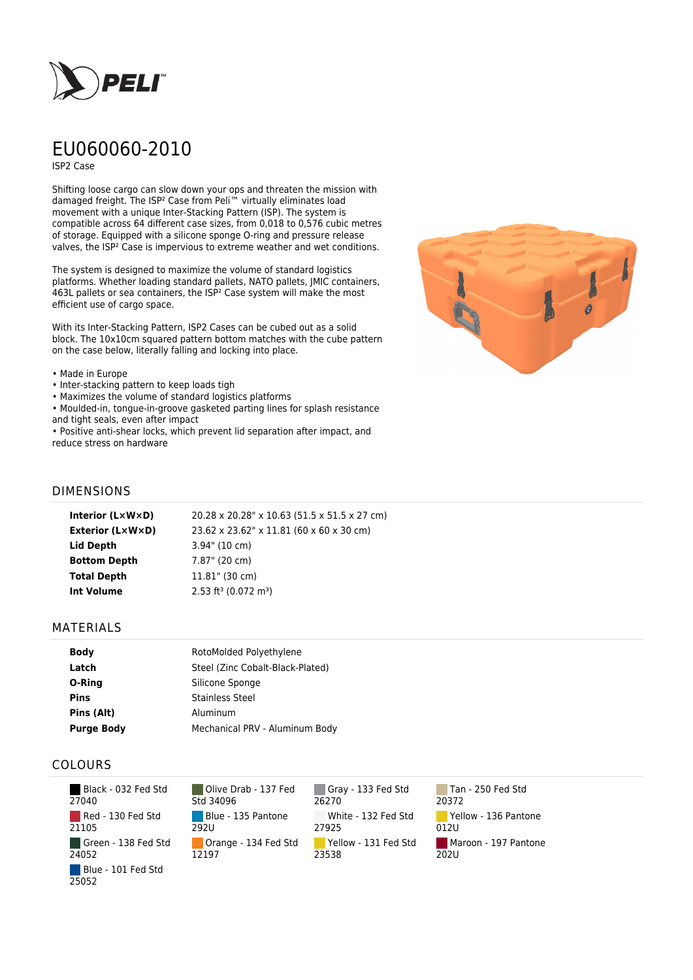

# EU060060-2010

ISP2 Case

Shifting loose cargo can slow down your ops and threaten the mission with damaged freight. The ISP² Case from Peli™ virtually eliminates load movement with a unique Inter-Stacking Pattern (ISP). The system is compatible across 64 different case sizes, from 0,018 to 0,576 cubic metres of storage. Equipped with a silicone sponge O-ring and pressure release valves, the ISP² Case is impervious to extreme weather and wet conditions.

The system is designed to maximize the volume of standard logistics platforms. Whether loading standard pallets, NATO pallets, JMIC containers, 463L pallets or sea containers, the ISP² Case system will make the most efficient use of cargo space.

With its Inter-Stacking Pattern, ISP2 Cases can be cubed out as a solid block. The 10x10cm squared pattern bottom matches with the cube pattern on the case below, literally falling and locking into place.

#### • Made in Europe

- Inter-stacking pattern to keep loads tigh
- Maximizes the volume of standard logistics platforms
- Moulded-in, tongue-in-groove gasketed parting lines for splash resistance and tight seals, even after impact

• Positive anti-shear locks, which prevent lid separation after impact, and reduce stress on hardware



### DIMENSIONS

| Interior (LxWxD)        | 20.28 x 20.28" x 10.63 (51.5 x 51.5 x 27 cm)   |
|-------------------------|------------------------------------------------|
| <b>Exterior (L×W×D)</b> | 23.62 x 23.62" x 11.81 (60 x 60 x 30 cm)       |
| Lid Depth               | $3.94$ " (10 cm)                               |
| <b>Bottom Depth</b>     | 7.87" (20 cm)                                  |
| <b>Total Depth</b>      | $11.81$ " (30 cm)                              |
| Int Volume              | $2.53$ ft <sup>3</sup> (0.072 m <sup>3</sup> ) |
|                         |                                                |

#### MATERIALS

| <b>Body</b>       | RotoMolded Polyethylene          |  |
|-------------------|----------------------------------|--|
| Latch             | Steel (Zinc Cobalt-Black-Plated) |  |
| O-Ring            | Silicone Sponge                  |  |
| <b>Pins</b>       | <b>Stainless Steel</b>           |  |
| Pins (Alt)        | Aluminum                         |  |
| <b>Purge Body</b> | Mechanical PRV - Aluminum Body   |  |

## COLOURS

 Black - 032 Fed Std 27040 Red - 130 Fed Std 21105 Green - 138 Fed Std 24052 Blue - 101 Fed Std 25052

Olive Drab - 137 Fed Std 34096 Blue - 135 Pantone 292U Orange - 134 Fed Std 12197

Gray - 133 Fed Std 26270 White - 132 Fed Std 27925 Yellow - 131 Fed Std 23538

Tan - 250 Fed Std 20372 Yellow - 136 Pantone 012U Maroon - 197 Pantone  $202U$